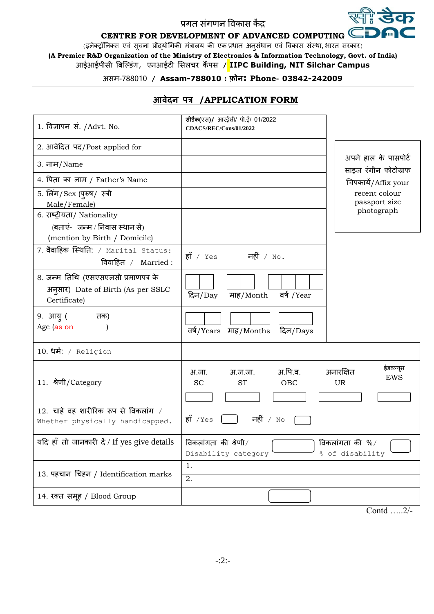## प्रगत संगणन विकास कें द्र

# **CENTRE FOR DEVELOPMENT OF ADVANCED COMPUTING**

(इलेक्ट्रॉनिक्स एवं सूचना प्रौद्योगिकी मंत्रालय की एक प्रधान अनुसंधान एवं विकास संस्था, भारत सरकार)

**(A Premier R&D Organization of the Ministry of Electronics & Information Technology, Govt. of India)** आईआईपीसी बिल्डंग, एनआईटी ससलचर कैं पस **/ IIPC Building, NIT Silchar Campus**

## असम-788010 **/ Assam-788010 : फ़ोन: Phone- 03842-242009**

| 1. विज्ञापन सं. /Advt. No.                                                                    | सीडैक(एस)/ आरईसी/ पी.ई/ 01/2022<br>CDACS/REC/Cons/01/2022    |                                                   |
|-----------------------------------------------------------------------------------------------|--------------------------------------------------------------|---------------------------------------------------|
| 2. आवेदित पद/Post applied for                                                                 |                                                              |                                                   |
| 3. नाम/Name                                                                                   |                                                              | अपने हाल के पासपोर्ट<br>साइज रंगीन फोटोग्राफ      |
| 4. पिता का नाम / Father's Name                                                                |                                                              | चिपकायें/Affix your                               |
| 5. लिंग/Sex (पुरुष/ स्त्री<br>Male/Female)                                                    |                                                              | recent colour<br>passport size                    |
| 6. राष्ट्रीयता/ Nationality<br>(बताएं-जन्म / निवास स्थान से)<br>(mention by Birth / Domicile) |                                                              | photograph                                        |
| 7. वैवाहिक स्थिति: / Marital Status:<br>विवाहित / Married :                                   | हाँ / $Yes$ नहीं / $No$ .                                    |                                                   |
| 8. जन्म तिथि (एसएसएलसी प्रमाणपत्र के<br>अनुसार) Date of Birth (As per SSLC<br>Certificate)    | वर्ष /Year<br>दिन/Day<br>माह/Month                           |                                                   |
| 9. आयु (<br>तक)<br>Age (as on                                                                 | वर्ष/Years माह/Months<br>दिन/Days                            |                                                   |
| 10. धर्म: / Religion                                                                          |                                                              |                                                   |
| 11. श्रेणी/Category                                                                           | अ.पि.व.<br>अ.जा.<br>अ.ज.जा.<br><b>SC</b><br><b>OBC</b><br>ST | ईडब्ल्यूस<br>अनारक्षित<br><b>EWS</b><br><b>UR</b> |
| $12.$ चाहे वह शारीरिक रूप से विकलांग /<br>Whether physically handicapped.                     | हाँ $Yes$<br>नहीं / $N \circ$                                |                                                   |
| यदि हाँ तो जानकारी दें / If yes give details                                                  | विकलांगता की श्रेणी $/$<br>Disability category               | विकलांगता की $\%$ /<br>% of disability            |
| 13. पहचान चिहन / Identification marks                                                         | 1.<br>2.                                                     |                                                   |
| 14. रक्त समूह / Blood Group                                                                   |                                                              |                                                   |

### **आवेदन पत्र /APPLICATION FORM**

Contd …..2/-

ख्ती **डेक** 

D) m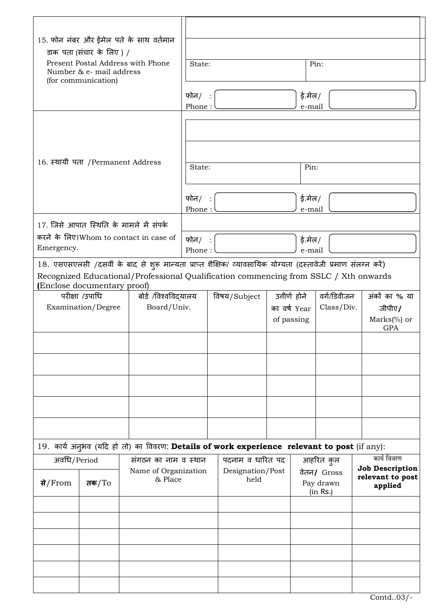| 15. फोन नंबर और ईमेल पते के साथ वर्तमान<br>डाक पता (संचार के लिए) /<br>Present Postal Address with Phone<br>Number & e- mail address<br>(for communication)                                                                          |  |                                                                                             |                                         |                                          |           |             |                                        |                                       |                             |  |
|--------------------------------------------------------------------------------------------------------------------------------------------------------------------------------------------------------------------------------------|--|---------------------------------------------------------------------------------------------|-----------------------------------------|------------------------------------------|-----------|-------------|----------------------------------------|---------------------------------------|-----------------------------|--|
|                                                                                                                                                                                                                                      |  | Pin:<br>State:                                                                              |                                         |                                          |           |             |                                        |                                       |                             |  |
|                                                                                                                                                                                                                                      |  | ई.मेल/<br>फोन $/$ :<br>Phone:<br>e-mail                                                     |                                         |                                          |           |             |                                        |                                       |                             |  |
|                                                                                                                                                                                                                                      |  |                                                                                             |                                         |                                          |           |             |                                        |                                       |                             |  |
|                                                                                                                                                                                                                                      |  |                                                                                             |                                         |                                          |           |             |                                        |                                       |                             |  |
|                                                                                                                                                                                                                                      |  | 16. स्थायी पता / Permanent Address                                                          |                                         | Pin:<br>State:                           |           |             |                                        |                                       |                             |  |
|                                                                                                                                                                                                                                      |  |                                                                                             | फोन $/$ :<br>Phone:                     |                                          |           |             | ई.मेल/<br>e-mail                       |                                       |                             |  |
|                                                                                                                                                                                                                                      |  | 17. जिसे आपात स्थिति के मामले में संपर्क                                                    |                                         |                                          |           |             |                                        |                                       |                             |  |
| करने के लिए।Whom to contact in case of<br>Emergency.                                                                                                                                                                                 |  |                                                                                             | फोन $/$ :<br>ई.मेल/<br>Phone:<br>e-mail |                                          |           |             |                                        |                                       |                             |  |
| 18. एसएसएलसी /दसवीं के बाद से शुरू मान्यता प्राप्त शैक्षिक/ व्यावसायिक योग्यता (दस्तावेजी प्रमाण संलग्न करें)<br>Recognized Educational/Professional Qualification commencing from SSLC / Xth onwards<br>(Enclose documentary proof) |  |                                                                                             |                                         |                                          |           |             |                                        |                                       |                             |  |
| परीक्षा /उपाधि<br>बोर्ड /विश्वविद्यालय                                                                                                                                                                                               |  |                                                                                             |                                         | उत्तीर्ण होने<br>विषय/Subject            |           | वर्ग/डिवीजन |                                        |                                       | अंकों का % या               |  |
| Board/Univ.<br>Examination/Degree                                                                                                                                                                                                    |  |                                                                                             |                                         | Class/Div.<br>का वर्ष Year<br>of passing |           |             | जीपीए/<br>$Marks$ (%) or<br><b>GPA</b> |                                       |                             |  |
|                                                                                                                                                                                                                                      |  |                                                                                             |                                         |                                          |           |             |                                        |                                       |                             |  |
|                                                                                                                                                                                                                                      |  |                                                                                             |                                         |                                          |           |             |                                        |                                       |                             |  |
|                                                                                                                                                                                                                                      |  |                                                                                             |                                         |                                          |           |             |                                        |                                       |                             |  |
|                                                                                                                                                                                                                                      |  |                                                                                             |                                         |                                          |           |             |                                        |                                       |                             |  |
|                                                                                                                                                                                                                                      |  |                                                                                             |                                         |                                          |           |             |                                        |                                       |                             |  |
|                                                                                                                                                                                                                                      |  | 19. कार्य अनुभव (यदि हो तो) का विवरण: Details of work experience relevant to post (if any): |                                         |                                          |           |             |                                        |                                       |                             |  |
| अवधि/Period                                                                                                                                                                                                                          |  | संगठन का नाम व स्थान<br>Name of Organization                                                | पदनाम व धारित पद<br>Designation/Post    |                                          | आहरित कुल |             |                                        | कार्य विवरण<br><b>Job Description</b> |                             |  |
| & Place<br>से/From<br>तक $/T$ o                                                                                                                                                                                                      |  |                                                                                             |                                         | held                                     |           |             | वेतन/ Gross<br>Pay drawn<br>(in Rs.)   |                                       | relevant to post<br>applied |  |
|                                                                                                                                                                                                                                      |  |                                                                                             |                                         |                                          |           |             |                                        |                                       |                             |  |
|                                                                                                                                                                                                                                      |  |                                                                                             |                                         |                                          |           |             |                                        |                                       |                             |  |
|                                                                                                                                                                                                                                      |  |                                                                                             |                                         |                                          |           |             |                                        |                                       |                             |  |
|                                                                                                                                                                                                                                      |  |                                                                                             |                                         |                                          |           |             |                                        |                                       |                             |  |
|                                                                                                                                                                                                                                      |  |                                                                                             |                                         |                                          |           |             |                                        |                                       |                             |  |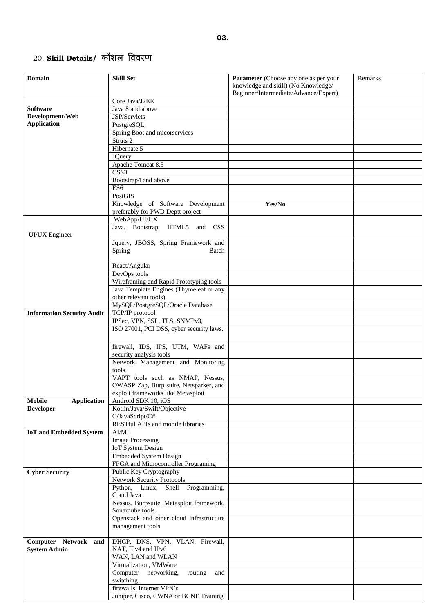# 20. **Skill Details/** कौशल वििरण

| Domain                              | <b>Skill Set</b>                                             | Parameter (Choose any one as per your                                        | Remarks |
|-------------------------------------|--------------------------------------------------------------|------------------------------------------------------------------------------|---------|
|                                     |                                                              | knowledge and skill) (No Knowledge/<br>Beginner/Intermediate/Advance/Expert) |         |
|                                     | Core Java/J2EE                                               |                                                                              |         |
| <b>Software</b>                     | Java 8 and above                                             |                                                                              |         |
| Development/Web                     | JSP/Servlets                                                 |                                                                              |         |
| <b>Application</b>                  | PostgreSQL,                                                  |                                                                              |         |
|                                     | Spring Boot and micorservices                                |                                                                              |         |
|                                     | Struts <sub>2</sub>                                          |                                                                              |         |
|                                     | Hibernate 5                                                  |                                                                              |         |
|                                     | <b>JOuery</b>                                                |                                                                              |         |
|                                     | Apache Tomcat 8.5                                            |                                                                              |         |
|                                     | $\overline{\text{CSS3}}$                                     |                                                                              |         |
|                                     | Bootstrap4 and above                                         |                                                                              |         |
|                                     | ES <sub>6</sub>                                              |                                                                              |         |
|                                     | PostGIS                                                      |                                                                              |         |
|                                     | Knowledge of Software Development                            | Yes/No                                                                       |         |
|                                     | preferably for PWD Deptt project                             |                                                                              |         |
|                                     | WebApp/UI/UX                                                 |                                                                              |         |
| <b>UI/UX</b> Engineer               | Java, Bootstrap, HTML5 and CSS                               |                                                                              |         |
|                                     | Jquery, JBOSS, Spring Framework and                          |                                                                              |         |
|                                     | Spring<br>Batch                                              |                                                                              |         |
|                                     |                                                              |                                                                              |         |
|                                     | React/Angular<br>DevOps tools                                |                                                                              |         |
|                                     | Wireframing and Rapid Prototyping tools                      |                                                                              |         |
|                                     | Java Template Engines (Thymeleaf or any                      |                                                                              |         |
|                                     | other relevant tools)                                        |                                                                              |         |
|                                     | MySQL/PostgreSQL/Oracle Database                             |                                                                              |         |
| <b>Information Security Audit</b>   | TCP/IP protocol                                              |                                                                              |         |
|                                     | IPSec, VPN, SSL, TLS, SNMPv3,                                |                                                                              |         |
|                                     | ISO 27001, PCI DSS, cyber security laws.                     |                                                                              |         |
|                                     |                                                              |                                                                              |         |
|                                     | firewall, IDS, IPS, UTM, WAFs and                            |                                                                              |         |
|                                     | security analysis tools                                      |                                                                              |         |
|                                     | Network Management and Monitoring                            |                                                                              |         |
|                                     | tools<br>VAPT tools such as NMAP, Nessus,                    |                                                                              |         |
|                                     | OWASP Zap, Burp suite, Netsparker, and                       |                                                                              |         |
|                                     | exploit frameworks like Metasploit                           |                                                                              |         |
| <b>Mobile</b><br><b>Application</b> | Android SDK 10, iOS                                          |                                                                              |         |
| <b>Developer</b>                    | Kotlin/Java/Swift/Objective-                                 |                                                                              |         |
|                                     | C/JavaScript/C#.                                             |                                                                              |         |
|                                     | RESTful APIs and mobile libraries                            |                                                                              |         |
| <b>IoT</b> and Embedded System      | AI/ML                                                        |                                                                              |         |
|                                     | <b>Image Processing</b>                                      |                                                                              |         |
|                                     | <b>IoT</b> System Design                                     |                                                                              |         |
|                                     | <b>Embedded System Design</b>                                |                                                                              |         |
|                                     | FPGA and Microcontroller Programing                          |                                                                              |         |
| <b>Cyber Security</b>               | Public Key Cryptography                                      |                                                                              |         |
|                                     | <b>Network Security Protocols</b>                            |                                                                              |         |
|                                     | Python, Linux,<br>Shell Programming,                         |                                                                              |         |
|                                     | C and Java                                                   |                                                                              |         |
|                                     | Nessus, Burpsuite, Metasploit framework,                     |                                                                              |         |
|                                     | Sonarqube tools                                              |                                                                              |         |
|                                     | Openstack and other cloud infrastructure<br>management tools |                                                                              |         |
|                                     |                                                              |                                                                              |         |
| Computer Network and                | DHCP, DNS, VPN, VLAN, Firewall,                              |                                                                              |         |
| <b>System Admin</b>                 | NAT, IPv4 and IPv6                                           |                                                                              |         |
|                                     | WAN, LAN and WLAN                                            |                                                                              |         |
|                                     | Virtualization, VMWare                                       |                                                                              |         |
|                                     | Computer<br>networking,<br>routing<br>and                    |                                                                              |         |
|                                     | switching                                                    |                                                                              |         |
|                                     | firewalls, Internet VPN's                                    |                                                                              |         |
|                                     | Juniper, Cisco, CWNA or BCNE Training                        |                                                                              |         |